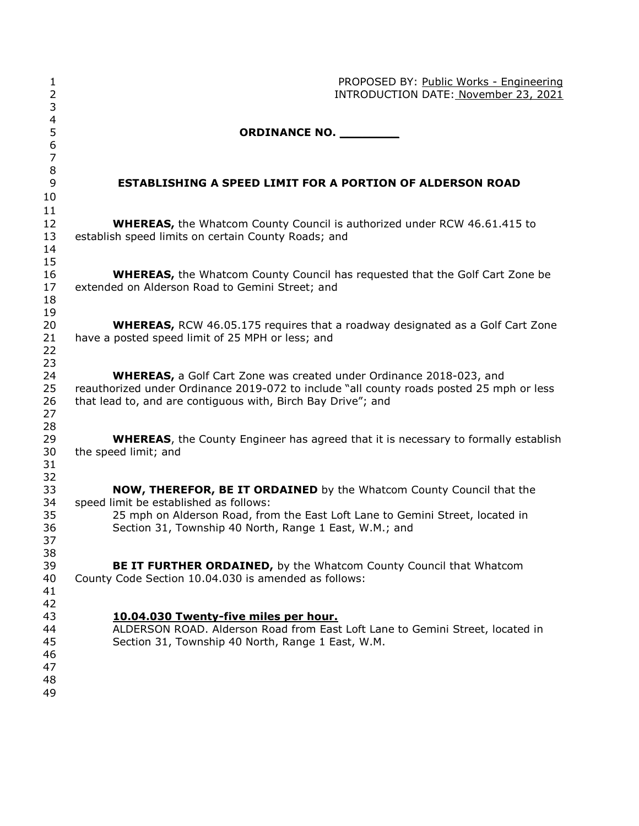| $\mathbf{1}$<br>$\overline{2}$         | PROPOSED BY: Public Works - Engineering<br>INTRODUCTION DATE: November 23, 2021                                                                                                                                                                                                                                                                              |  |  |
|----------------------------------------|--------------------------------------------------------------------------------------------------------------------------------------------------------------------------------------------------------------------------------------------------------------------------------------------------------------------------------------------------------------|--|--|
| 3<br>$\overline{\mathcal{A}}$          |                                                                                                                                                                                                                                                                                                                                                              |  |  |
| 5<br>6<br>$\overline{7}$               | ORDINANCE NO. _________                                                                                                                                                                                                                                                                                                                                      |  |  |
| $\,8\,$<br>9                           | <b>ESTABLISHING A SPEED LIMIT FOR A PORTION OF ALDERSON ROAD</b>                                                                                                                                                                                                                                                                                             |  |  |
| 10<br>11                               |                                                                                                                                                                                                                                                                                                                                                              |  |  |
| 12                                     | <b>WHEREAS, the Whatcom County Council is authorized under RCW 46.61.415 to</b>                                                                                                                                                                                                                                                                              |  |  |
| 13<br>14<br>15                         | establish speed limits on certain County Roads; and                                                                                                                                                                                                                                                                                                          |  |  |
| 16<br>17<br>18                         | <b>WHEREAS,</b> the Whatcom County Council has requested that the Golf Cart Zone be<br>extended on Alderson Road to Gemini Street; and                                                                                                                                                                                                                       |  |  |
| 19<br>20<br>21                         | <b>WHEREAS, RCW 46.05.175 requires that a roadway designated as a Golf Cart Zone</b><br>have a posted speed limit of 25 MPH or less; and                                                                                                                                                                                                                     |  |  |
| 22<br>23                               |                                                                                                                                                                                                                                                                                                                                                              |  |  |
| 24<br>25<br>26<br>27<br>28             | <b>WHEREAS, a Golf Cart Zone was created under Ordinance 2018-023, and</b><br>reauthorized under Ordinance 2019-072 to include "all county roads posted 25 mph or less<br>that lead to, and are contiguous with, Birch Bay Drive"; and<br><b>WHEREAS</b> , the County Engineer has agreed that it is necessary to formally establish<br>the speed limit; and |  |  |
| 29<br>30<br>31<br>32                   |                                                                                                                                                                                                                                                                                                                                                              |  |  |
| 33<br>34                               | <b>NOW, THEREFOR, BE IT ORDAINED</b> by the Whatcom County Council that the<br>speed limit be established as follows:                                                                                                                                                                                                                                        |  |  |
| 35<br>36<br>37<br>38                   | 25 mph on Alderson Road, from the East Loft Lane to Gemini Street, located in<br>Section 31, Township 40 North, Range 1 East, W.M.; and                                                                                                                                                                                                                      |  |  |
| 39<br>40<br>41<br>42                   | BE IT FURTHER ORDAINED, by the Whatcom County Council that Whatcom<br>County Code Section 10.04.030 is amended as follows:                                                                                                                                                                                                                                   |  |  |
| 43<br>44<br>45<br>46<br>47<br>48<br>49 | 10.04.030 Twenty-five miles per hour.<br>ALDERSON ROAD. Alderson Road from East Loft Lane to Gemini Street, located in<br>Section 31, Township 40 North, Range 1 East, W.M.                                                                                                                                                                                  |  |  |